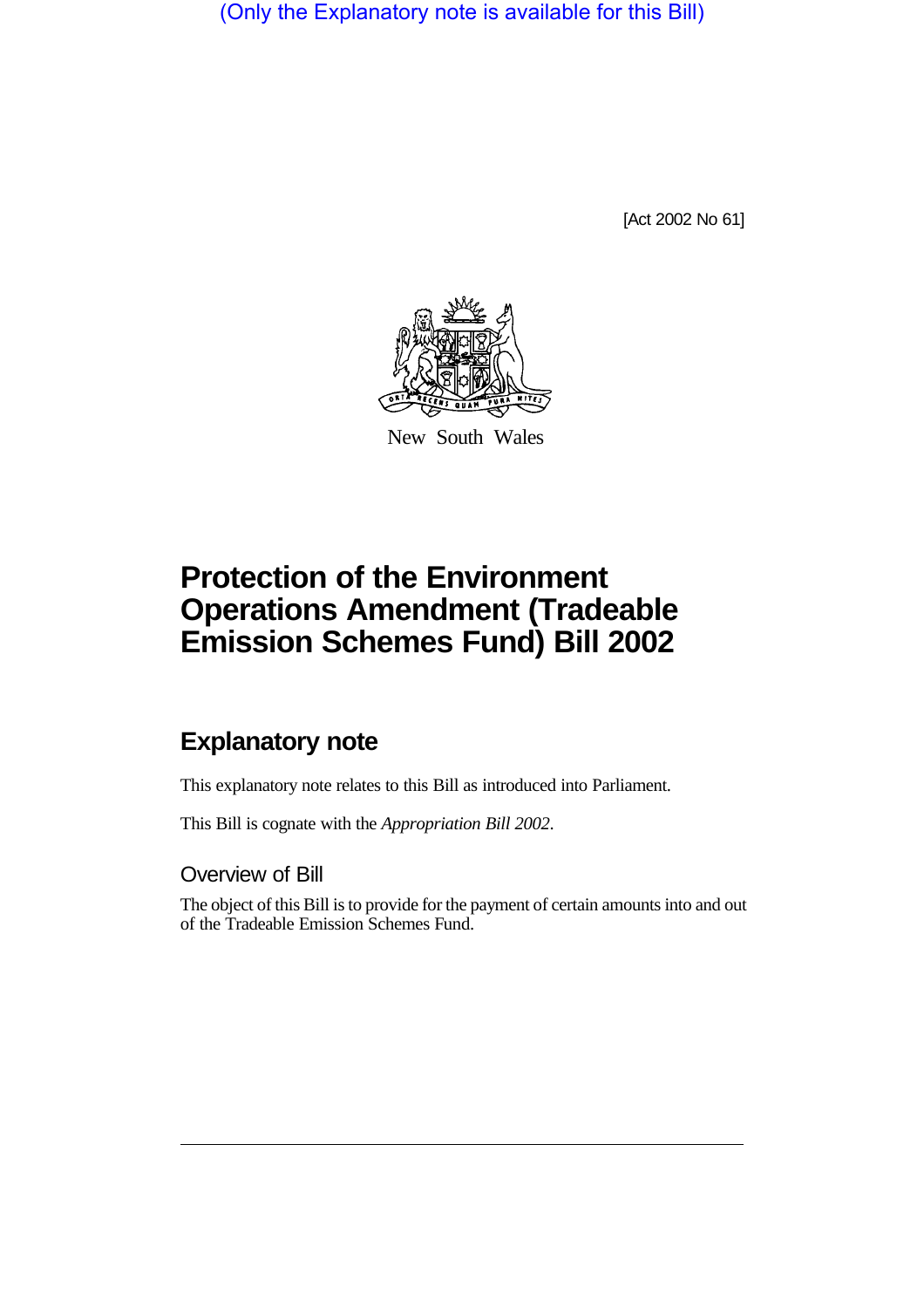(Only the Explanatory note is available for this Bill)

[Act 2002 No 61]



New South Wales

## **Protection of the Environment Operations Amendment (Tradeable Emission Schemes Fund) Bill 2002**

## **Explanatory note**

This explanatory note relates to this Bill as introduced into Parliament.

This Bill is cognate with the *Appropriation Bill 2002*.

Overview of Bill

The object of this Bill is to provide for the payment of certain amounts into and out of the Tradeable Emission Schemes Fund.